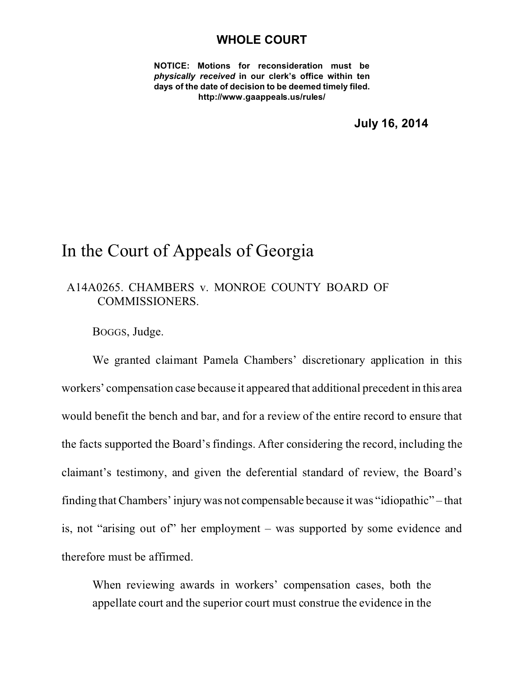## **WHOLE COURT**

**NOTICE: Motions for reconsideration must be** *physically received* **in our clerk's office within ten days of the date of decision to be deemed timely filed. http://www.gaappeals.us/rules/**

**July 16, 2014**

## In the Court of Appeals of Georgia

## A14A0265. CHAMBERS v. MONROE COUNTY BOARD OF COMMISSIONERS.

BOGGS, Judge.

We granted claimant Pamela Chambers' discretionary application in this workers' compensation case because it appeared that additional precedent in this area would benefit the bench and bar, and for a review of the entire record to ensure that the facts supported the Board's findings. After considering the record, including the claimant's testimony, and given the deferential standard of review, the Board's finding that Chambers' injury was not compensable because it was "idiopathic" – that is, not "arising out of" her employment – was supported by some evidence and therefore must be affirmed.

When reviewing awards in workers' compensation cases, both the appellate court and the superior court must construe the evidence in the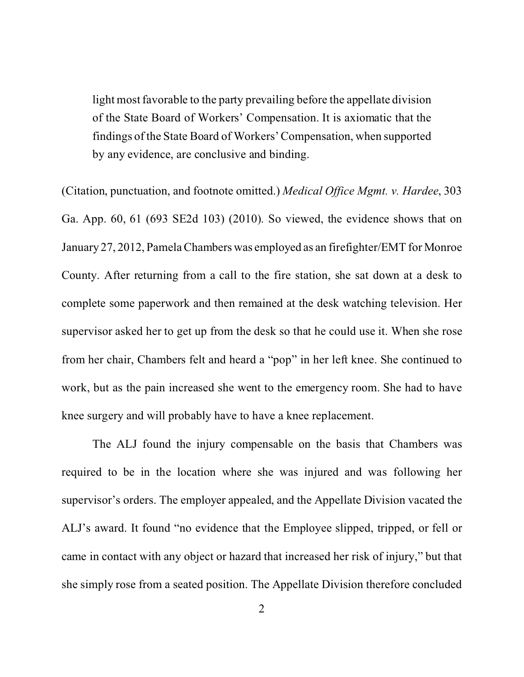light most favorable to the party prevailing before the appellate division of the State Board of Workers' Compensation. It is axiomatic that the findings of the State Board of Workers' Compensation, when supported by any evidence, are conclusive and binding.

(Citation, punctuation, and footnote omitted.) *Medical Office Mgmt. v. Hardee*, 303 Ga. App. 60, 61 (693 SE2d 103) (2010). So viewed, the evidence shows that on January 27, 2012, Pamela Chambers was employed as an firefighter/EMT for Monroe County. After returning from a call to the fire station, she sat down at a desk to complete some paperwork and then remained at the desk watching television. Her supervisor asked her to get up from the desk so that he could use it. When she rose from her chair, Chambers felt and heard a "pop" in her left knee. She continued to work, but as the pain increased she went to the emergency room. She had to have knee surgery and will probably have to have a knee replacement.

The ALJ found the injury compensable on the basis that Chambers was required to be in the location where she was injured and was following her supervisor's orders. The employer appealed, and the Appellate Division vacated the ALJ's award. It found "no evidence that the Employee slipped, tripped, or fell or came in contact with any object or hazard that increased her risk of injury," but that she simply rose from a seated position. The Appellate Division therefore concluded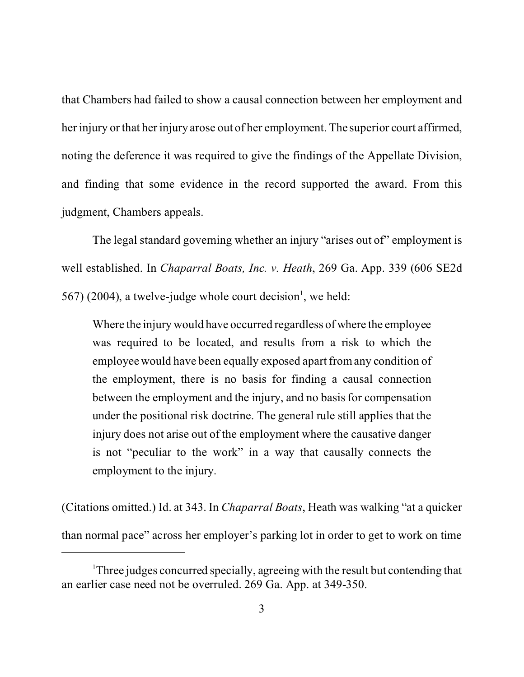that Chambers had failed to show a causal connection between her employment and her injury or that her injury arose out of her employment. The superior court affirmed, noting the deference it was required to give the findings of the Appellate Division, and finding that some evidence in the record supported the award. From this judgment, Chambers appeals.

The legal standard governing whether an injury "arises out of" employment is well established. In *Chaparral Boats, Inc. v. Heath*, 269 Ga. App. 339 (606 SE2d  $567$ ) (2004), a twelve-judge whole court decision<sup>1</sup>, we held:

Where the injury would have occurred regardless of where the employee was required to be located, and results from a risk to which the employee would have been equally exposed apart from any condition of the employment, there is no basis for finding a causal connection between the employment and the injury, and no basis for compensation under the positional risk doctrine. The general rule still applies that the injury does not arise out of the employment where the causative danger is not "peculiar to the work" in a way that causally connects the employment to the injury.

(Citations omitted.) Id. at 343. In *Chaparral Boats*, Heath was walking "at a quicker than normal pace" across her employer's parking lot in order to get to work on time

<sup>&</sup>lt;sup>1</sup>Three judges concurred specially, agreeing with the result but contending that an earlier case need not be overruled. 269 Ga. App. at 349-350.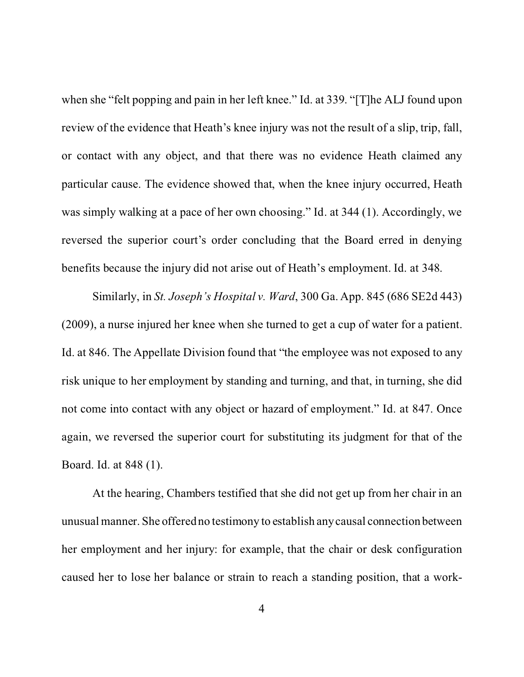when she "felt popping and pain in her left knee." Id. at 339. "[T]he ALJ found upon review of the evidence that Heath's knee injury was not the result of a slip, trip, fall, or contact with any object, and that there was no evidence Heath claimed any particular cause. The evidence showed that, when the knee injury occurred, Heath was simply walking at a pace of her own choosing." Id. at 344 (1). Accordingly, we reversed the superior court's order concluding that the Board erred in denying benefits because the injury did not arise out of Heath's employment. Id. at 348.

Similarly, in *St. Joseph's Hospital v. Ward*, 300 Ga. App. 845 (686 SE2d 443) (2009), a nurse injured her knee when she turned to get a cup of water for a patient. Id. at 846. The Appellate Division found that "the employee was not exposed to any risk unique to her employment by standing and turning, and that, in turning, she did not come into contact with any object or hazard of employment." Id. at 847. Once again, we reversed the superior court for substituting its judgment for that of the Board. Id. at 848 (1).

At the hearing, Chambers testified that she did not get up from her chair in an unusual manner. She offered no testimony to establish any causal connection between her employment and her injury: for example, that the chair or desk configuration caused her to lose her balance or strain to reach a standing position, that a work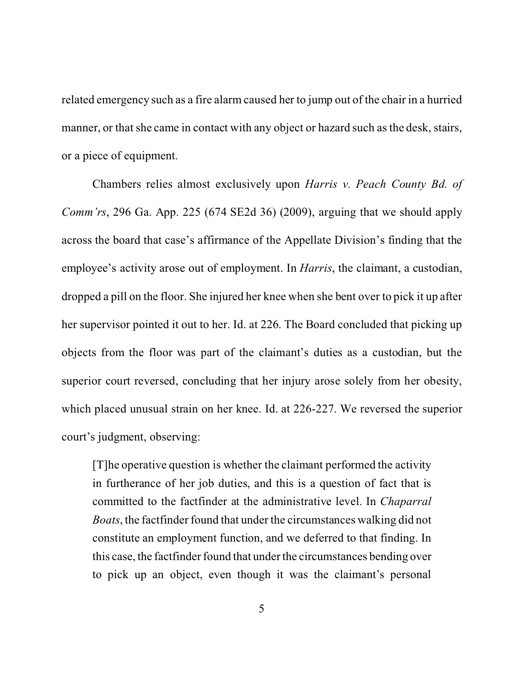related emergency such as a fire alarm caused her to jump out of the chair in a hurried manner, or that she came in contact with any object or hazard such as the desk, stairs, or a piece of equipment.

Chambers relies almost exclusively upon *Harris v. Peach County Bd. of Comm'rs*, 296 Ga. App. 225 (674 SE2d 36) (2009), arguing that we should apply across the board that case's affirmance of the Appellate Division's finding that the employee's activity arose out of employment. In *Harris*, the claimant, a custodian, dropped a pill on the floor. She injured her knee when she bent over to pick it up after her supervisor pointed it out to her. Id. at 226. The Board concluded that picking up objects from the floor was part of the claimant's duties as a custodian, but the superior court reversed, concluding that her injury arose solely from her obesity, which placed unusual strain on her knee. Id. at 226-227. We reversed the superior court's judgment, observing:

[T]he operative question is whether the claimant performed the activity in furtherance of her job duties, and this is a question of fact that is committed to the factfinder at the administrative level. In *Chaparral Boats*, the factfinder found that under the circumstances walking did not constitute an employment function, and we deferred to that finding. In this case, the factfinder found that under the circumstances bending over to pick up an object, even though it was the claimant's personal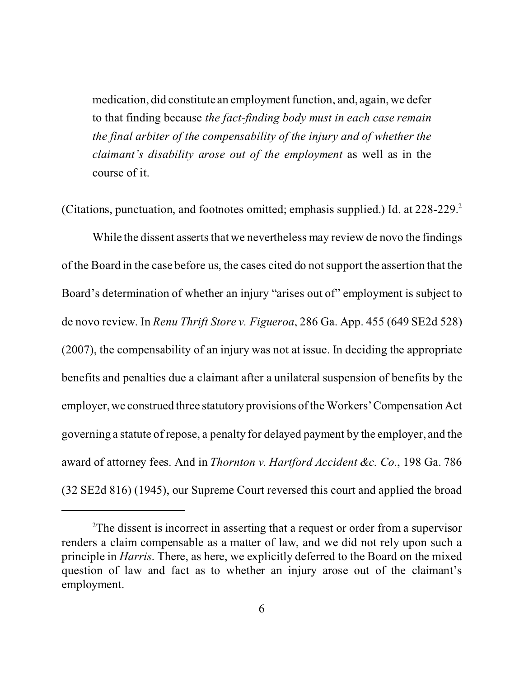medication, did constitute an employment function, and, again, we defer to that finding because *the fact-finding body must in each case remain the final arbiter of the compensability of the injury and of whether the claimant's disability arose out of the employment* as well as in the course of it.

(Citations, punctuation, and footnotes omitted; emphasis supplied.) Id. at 228-229.<sup>2</sup>

While the dissent asserts that we nevertheless may review de novo the findings of the Board in the case before us, the cases cited do not support the assertion that the Board's determination of whether an injury "arises out of" employment is subject to de novo review. In *Renu Thrift Store v. Figueroa*, 286 Ga. App. 455 (649 SE2d 528) (2007), the compensability of an injury was not at issue. In deciding the appropriate benefits and penalties due a claimant after a unilateral suspension of benefits by the employer, we construed three statutory provisions of the Workers' Compensation Act governing a statute of repose, a penalty for delayed payment by the employer, and the award of attorney fees. And in *Thornton v. Hartford Accident &c. Co.*, 198 Ga. 786 (32 SE2d 816) (1945), our Supreme Court reversed this court and applied the broad

<sup>&</sup>lt;sup>2</sup>The dissent is incorrect in asserting that a request or order from a supervisor renders a claim compensable as a matter of law, and we did not rely upon such a principle in *Harris*. There, as here, we explicitly deferred to the Board on the mixed question of law and fact as to whether an injury arose out of the claimant's employment.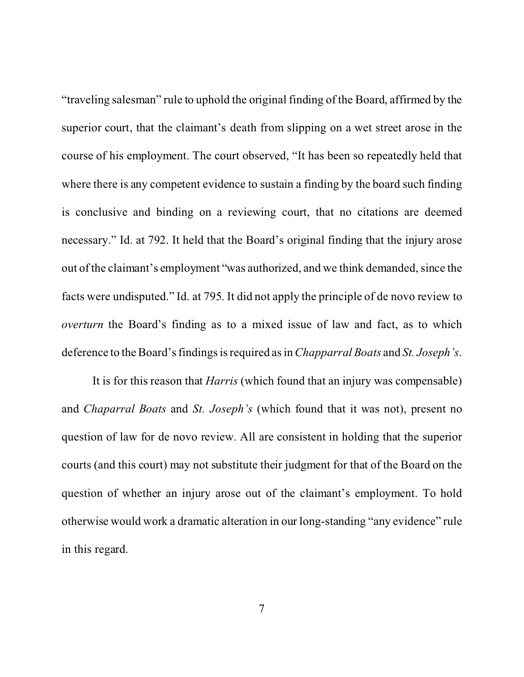"traveling salesman" rule to uphold the original finding of the Board, affirmed by the superior court, that the claimant's death from slipping on a wet street arose in the course of his employment. The court observed, "It has been so repeatedly held that where there is any competent evidence to sustain a finding by the board such finding is conclusive and binding on a reviewing court, that no citations are deemed necessary." Id. at 792. It held that the Board's original finding that the injury arose out of the claimant's employment "was authorized, and we think demanded, since the facts were undisputed." Id. at 795. It did not apply the principle of de novo review to *overturn* the Board's finding as to a mixed issue of law and fact, as to which deference to the Board's findings is required as in*Chapparral Boats* and *St. Joseph's*.

It is for this reason that *Harris* (which found that an injury was compensable) and *Chaparral Boats* and *St. Joseph's* (which found that it was not), present no question of law for de novo review. All are consistent in holding that the superior courts (and this court) may not substitute their judgment for that of the Board on the question of whether an injury arose out of the claimant's employment. To hold otherwise would work a dramatic alteration in our long-standing "any evidence" rule in this regard.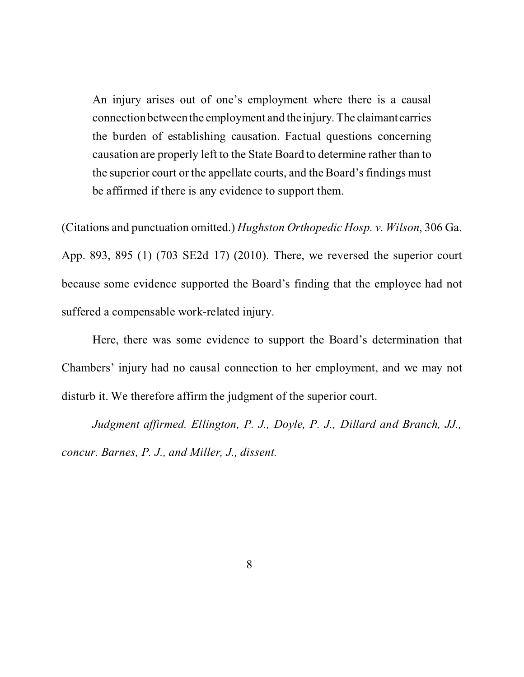An injury arises out of one's employment where there is a causal connection between the employment and the injury. The claimantcarries the burden of establishing causation. Factual questions concerning causation are properly left to the State Board to determine rather than to the superior court or the appellate courts, and the Board's findings must be affirmed if there is any evidence to support them.

(Citations and punctuation omitted.) *Hughston Orthopedic Hosp. v. Wilson*, 306 Ga. App. 893, 895 (1) (703 SE2d 17) (2010). There, we reversed the superior court because some evidence supported the Board's finding that the employee had not suffered a compensable work-related injury.

Here, there was some evidence to support the Board's determination that Chambers' injury had no causal connection to her employment, and we may not disturb it. We therefore affirm the judgment of the superior court.

*Judgment affirmed. Ellington, P. J., Doyle, P. J., Dillard and Branch, JJ., concur. Barnes, P. J., and Miller, J., dissent.*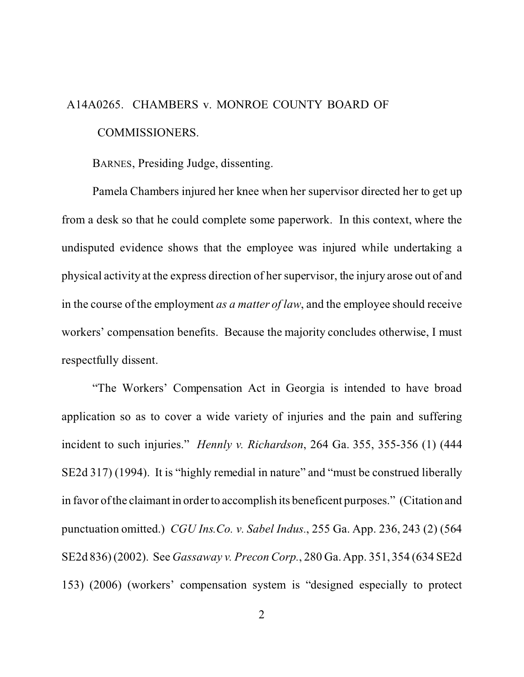## A14A0265. CHAMBERS v. MONROE COUNTY BOARD OF COMMISSIONERS.

BARNES, Presiding Judge, dissenting.

Pamela Chambers injured her knee when her supervisor directed her to get up from a desk so that he could complete some paperwork. In this context, where the undisputed evidence shows that the employee was injured while undertaking a physical activity at the express direction of her supervisor, the injury arose out of and in the course of the employment *as a matter of law*, and the employee should receive workers' compensation benefits. Because the majority concludes otherwise, I must respectfully dissent.

"The Workers' Compensation Act in Georgia is intended to have broad application so as to cover a wide variety of injuries and the pain and suffering incident to such injuries." *Hennly v. Richardson*, 264 Ga. 355, 355-356 (1) (444 SE2d 317) (1994). It is "highly remedial in nature" and "must be construed liberally in favor of the claimant in order to accomplish its beneficent purposes."(Citation and punctuation omitted.) *CGU Ins.Co. v. Sabel Indus.*, 255 Ga. App. 236, 243 (2) (564 SE2d 836) (2002). See *Gassaway v. Precon Corp.*, 280 Ga. App. 351, 354 (634 SE2d 153) (2006) (workers' compensation system is "designed especially to protect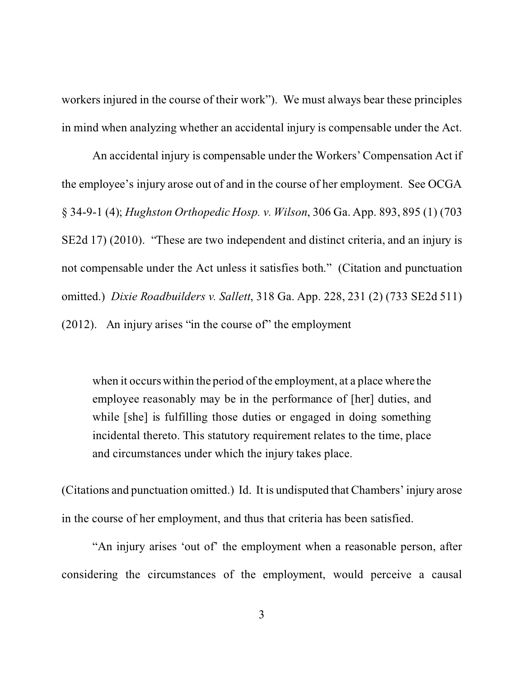workers injured in the course of their work"). We must always bear these principles in mind when analyzing whether an accidental injury is compensable under the Act.

An accidental injury is compensable under the Workers' Compensation Act if the employee's injury arose out of and in the course of her employment. See OCGA § 34-9-1 (4); *Hughston Orthopedic Hosp. v. Wilson*, 306 Ga. App. 893, 895 (1) (703 SE2d 17) (2010). "These are two independent and distinct criteria, and an injury is not compensable under the Act unless it satisfies both." (Citation and punctuation omitted.) *Dixie Roadbuilders v. Sallett*, 318 Ga. App. 228, 231 (2) (733 SE2d 511) (2012). An injury arises "in the course of" the employment

when it occurs within the period of the employment, at a place where the employee reasonably may be in the performance of [her] duties, and while [she] is fulfilling those duties or engaged in doing something incidental thereto. This statutory requirement relates to the time, place and circumstances under which the injury takes place.

(Citations and punctuation omitted.) Id. It is undisputed that Chambers' injury arose in the course of her employment, and thus that criteria has been satisfied.

"An injury arises 'out of' the employment when a reasonable person, after considering the circumstances of the employment, would perceive a causal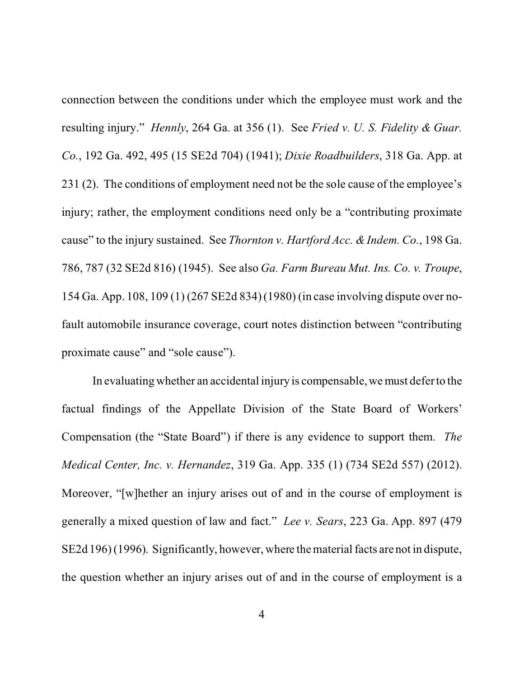connection between the conditions under which the employee must work and the resulting injury." *Hennly*, 264 Ga. at 356 (1). See *Fried v. U. S. Fidelity & Guar. Co.*, 192 Ga. 492, 495 (15 SE2d 704) (1941); *Dixie Roadbuilders*, 318 Ga. App. at 231 (2). The conditions of employment need not be the sole cause of the employee's injury; rather, the employment conditions need only be a "contributing proximate cause" to the injury sustained. See *Thornton v. Hartford Acc. & Indem. Co.*, 198 Ga. 786, 787 (32 SE2d 816) (1945). See also *Ga. Farm Bureau Mut. Ins. Co. v. Troupe*, 154 Ga. App. 108, 109 (1) (267 SE2d 834) (1980) (in case involving dispute over nofault automobile insurance coverage, court notes distinction between "contributing proximate cause" and "sole cause").

In evaluating whether an accidental injury is compensable, we must defer to the factual findings of the Appellate Division of the State Board of Workers' Compensation (the "State Board") if there is any evidence to support them. *The Medical Center, Inc. v. Hernandez*, 319 Ga. App. 335 (1) (734 SE2d 557) (2012). Moreover, "[w]hether an injury arises out of and in the course of employment is generally a mixed question of law and fact." *Lee v. Sears*, 223 Ga. App. 897 (479 SE2d 196) (1996). Significantly, however, where the material facts are not in dispute, the question whether an injury arises out of and in the course of employment is a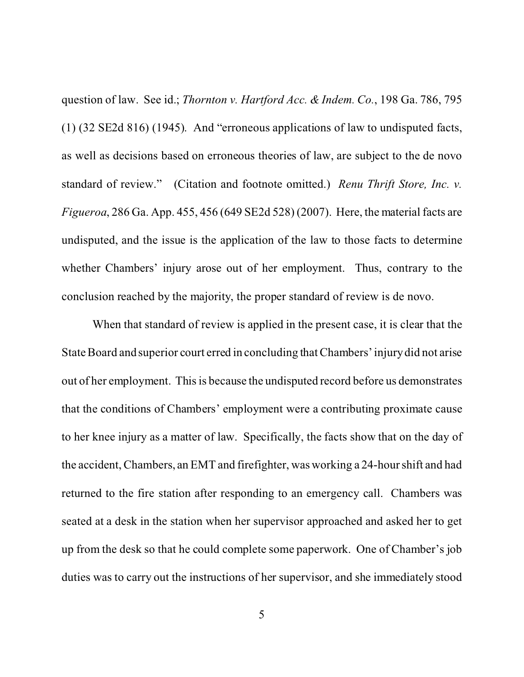question of law. See id.; *Thornton v. Hartford Acc. & Indem. Co.*, 198 Ga. 786, 795 (1) (32 SE2d 816) (1945). And "erroneous applications of law to undisputed facts, as well as decisions based on erroneous theories of law, are subject to the de novo standard of review." (Citation and footnote omitted.) *Renu Thrift Store, Inc. v. Figueroa*, 286 Ga. App. 455, 456 (649 SE2d 528) (2007). Here, the material facts are undisputed, and the issue is the application of the law to those facts to determine whether Chambers' injury arose out of her employment. Thus, contrary to the conclusion reached by the majority, the proper standard of review is de novo.

When that standard of review is applied in the present case, it is clear that the State Board and superior court erred in concluding that Chambers' injury did not arise out of her employment. This is because the undisputed record before us demonstrates that the conditions of Chambers' employment were a contributing proximate cause to her knee injury as a matter of law. Specifically, the facts show that on the day of the accident, Chambers, an EMT and firefighter, was working a 24-hour shift and had returned to the fire station after responding to an emergency call. Chambers was seated at a desk in the station when her supervisor approached and asked her to get up from the desk so that he could complete some paperwork. One of Chamber's job duties was to carry out the instructions of her supervisor, and she immediately stood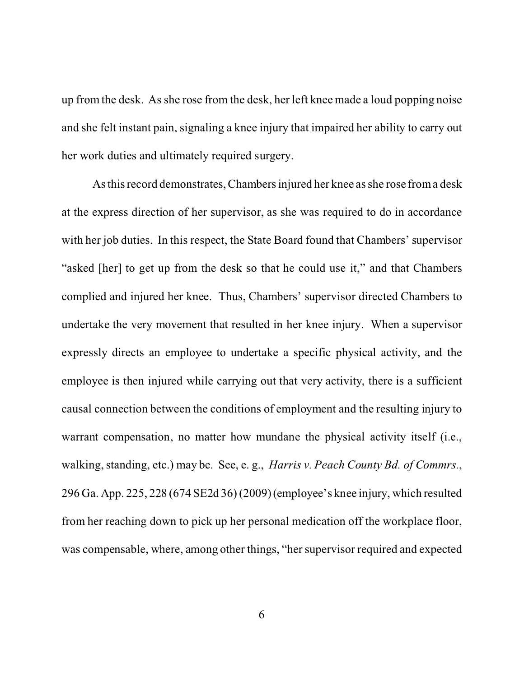up from the desk. As she rose from the desk, her left knee made a loud popping noise and she felt instant pain, signaling a knee injury that impaired her ability to carry out her work duties and ultimately required surgery.

As this record demonstrates, Chambers injured her knee as she rose from a desk at the express direction of her supervisor, as she was required to do in accordance with her job duties. In this respect, the State Board found that Chambers' supervisor "asked [her] to get up from the desk so that he could use it," and that Chambers complied and injured her knee. Thus, Chambers' supervisor directed Chambers to undertake the very movement that resulted in her knee injury. When a supervisor expressly directs an employee to undertake a specific physical activity, and the employee is then injured while carrying out that very activity, there is a sufficient causal connection between the conditions of employment and the resulting injury to warrant compensation, no matter how mundane the physical activity itself (i.e., walking, standing, etc.) may be. See, e. g., *Harris v. Peach County Bd. of Commrs.*, 296 Ga. App. 225, 228 (674 SE2d 36) (2009) (employee's knee injury, which resulted from her reaching down to pick up her personal medication off the workplace floor, was compensable, where, among other things, "her supervisor required and expected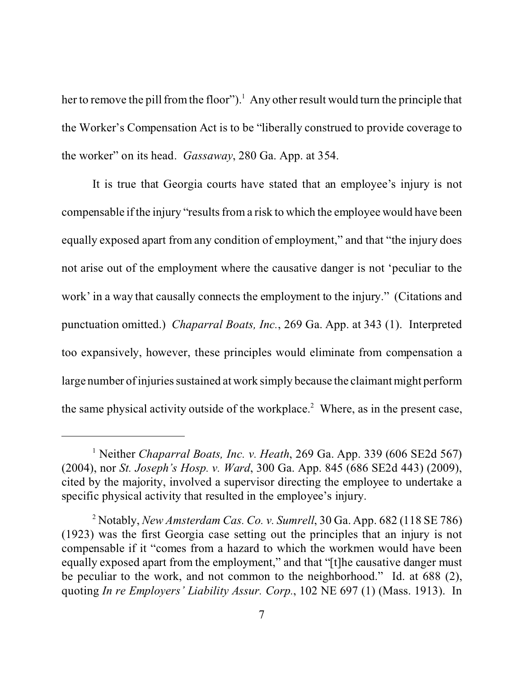her to remove the pill from the floor").<sup>1</sup> Any other result would turn the principle that the Worker's Compensation Act is to be "liberally construed to provide coverage to the worker" on its head. *Gassaway*, 280 Ga. App. at 354.

It is true that Georgia courts have stated that an employee's injury is not compensable if the injury "results from a risk to which the employee would have been equally exposed apart from any condition of employment," and that "the injury does not arise out of the employment where the causative danger is not 'peculiar to the work' in a way that causally connects the employment to the injury." (Citations and punctuation omitted.) *Chaparral Boats, Inc.*, 269 Ga. App. at 343 (1). Interpreted too expansively, however, these principles would eliminate from compensation a large number of injuries sustained at work simply because the claimant might perform the same physical activity outside of the workplace.<sup>2</sup> Where, as in the present case,

<sup>&</sup>lt;sup>1</sup> Neither *Chaparral Boats, Inc. v. Heath*, 269 Ga. App. 339 (606 SE2d 567) (2004), nor *St. Joseph's Hosp. v. Ward*, 300 Ga. App. 845 (686 SE2d 443) (2009), cited by the majority, involved a supervisor directing the employee to undertake a specific physical activity that resulted in the employee's injury.

<sup>2</sup> Notably, *New Amsterdam Cas. Co. v. Sumrell*, 30 Ga. App. 682 (118 SE 786) (1923) was the first Georgia case setting out the principles that an injury is not compensable if it "comes from a hazard to which the workmen would have been equally exposed apart from the employment," and that "[t]he causative danger must be peculiar to the work, and not common to the neighborhood." Id. at 688 (2), quoting *In re Employers' Liability Assur. Corp.*, 102 NE 697 (1) (Mass. 1913). In